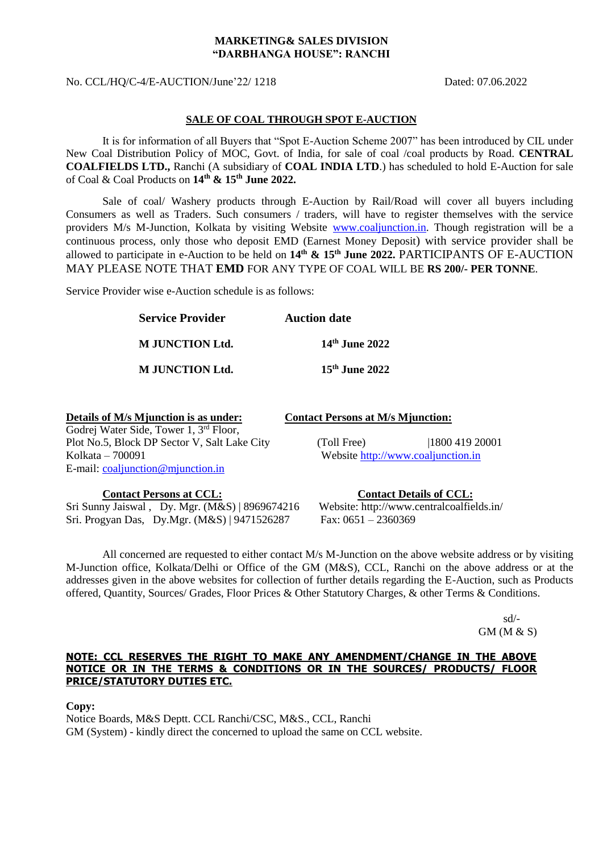#### **MARKETING& SALES DIVISION "DARBHANGA HOUSE": RANCHI**

No. CCL/HQ/C-4/E-AUCTION/June'22/ 1218 Dated: 07.06.2022

### **SALE OF COAL THROUGH SPOT E-AUCTION**

It is for information of all Buyers that "Spot E-Auction Scheme 2007" has been introduced by CIL under New Coal Distribution Policy of MOC, Govt. of India, for sale of coal /coal products by Road. **CENTRAL COALFIELDS LTD.,** Ranchi (A subsidiary of **COAL INDIA LTD**.) has scheduled to hold E-Auction for sale of Coal & Coal Products on **14 th & 15 th June 2022.**

Sale of coal/ Washery products through E-Auction by Rail/Road will cover all buyers including Consumers as well as Traders. Such consumers / traders, will have to register themselves with the service providers M/s M-Junction, Kolkata by visiting Website [www.coaljunction.in.](http://www.coaljunction.in/) Though registration will be a continuous process, only those who deposit EMD (Earnest Money Deposit) with service provider shall be allowed to participate in e-Auction to be held on **14 th & 15 th June 2022.** PARTICIPANTS OF E-AUCTION MAY PLEASE NOTE THAT **EMD** FOR ANY TYPE OF COAL WILL BE **RS 200/- PER TONNE**.

Service Provider wise e-Auction schedule is as follows:

| <b>Service Provider</b> | <b>Auction date</b>        |  |
|-------------------------|----------------------------|--|
| <b>M</b> JUNCTION Ltd.  | 14th June 2022             |  |
| <b>M JUNCTION Ltd.</b>  | 15 <sup>th</sup> June 2022 |  |

| Details of M/s Mjunction is as under:              | <b>Contact Persons at M/s Mjunction:</b> |                |
|----------------------------------------------------|------------------------------------------|----------------|
| Godrej Water Side, Tower 1, 3 <sup>rd</sup> Floor, |                                          |                |
| Plot No.5, Block DP Sector V, Salt Lake City       | (Toll Free)                              | 1800 419 20001 |
| Kolkata – 700091                                   | Website http://www.coaljunction.in       |                |
| E-mail: $\text{coaljunction@min}$                  |                                          |                |
|                                                    |                                          |                |

Sri Sunny Jaiswal , Dy. Mgr. (M&S) | 8969674216 Website: http://www.centralcoalfields.in/ Sri. Progyan Das, Dy.Mgr. (M&S) | 9471526287 Fax: 0651 – 2360369

**Contact Persons at CCL: Contact Details of CCL:**

All concerned are requested to either contact M/s M-Junction on the above website address or by visiting M-Junction office, Kolkata/Delhi or Office of the GM (M&S), CCL, Ranchi on the above address or at the addresses given in the above websites for collection of further details regarding the E-Auction, such as Products offered, Quantity, Sources/ Grades, Floor Prices & Other Statutory Charges, & other Terms & Conditions.

> sd/- GM (M & S)

### **NOTE: CCL RESERVES THE RIGHT TO MAKE ANY AMENDMENT/CHANGE IN THE ABOVE NOTICE OR IN THE TERMS & CONDITIONS OR IN THE SOURCES/ PRODUCTS/ FLOOR PRICE/STATUTORY DUTIES ETC.**

**Copy:**

Notice Boards, M&S Deptt. CCL Ranchi/CSC, M&S., CCL, Ranchi GM (System) - kindly direct the concerned to upload the same on CCL website.